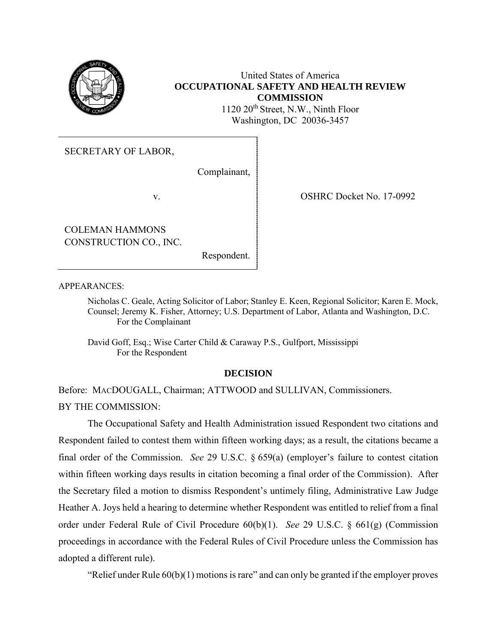

## United States of America **OCCUPATIONAL SAFETY AND HEALTH REVIEW COMMISSION**

1120 20<sup>th</sup> Street, N.W., Ninth Floor Washington, DC 20036-3457

SECRETARY OF LABOR,

Complainant,

COLEMAN HAMMONS CONSTRUCTION CO., INC.

Respondent.

v. COSHRC Docket No. 17-0992

APPEARANCES:

Nicholas C. Geale, Acting Solicitor of Labor; Stanley E. Keen, Regional Solicitor; Karen E. Mock, Counsel; Jeremy K. Fisher, Attorney; U.S. Department of Labor, Atlanta and Washington, D.C. For the Complainant

David Goff, Esq.; Wise Carter Child & Caraway P.S., Gulfport, Mississippi For the Respondent

## **DECISION**

Before: MACDOUGALL, Chairman; ATTWOOD and SULLIVAN, Commissioners. BY THE COMMISSION:

The Occupational Safety and Health Administration issued Respondent two citations and Respondent failed to contest them within fifteen working days; as a result, the citations became a final order of the Commission. *See* 29 U.S.C. § 659(a) (employer's failure to contest citation within fifteen working days results in citation becoming a final order of the Commission). After the Secretary filed a motion to dismiss Respondent's untimely filing, Administrative Law Judge Heather A. Joys held a hearing to determine whether Respondent was entitled to relief from a final order under Federal Rule of Civil Procedure 60(b)(1). *See* 29 U.S.C. § 661(g) (Commission proceedings in accordance with the Federal Rules of Civil Procedure unless the Commission has adopted a different rule).

"Relief under Rule 60(b)(1) motions is rare" and can only be granted if the employer proves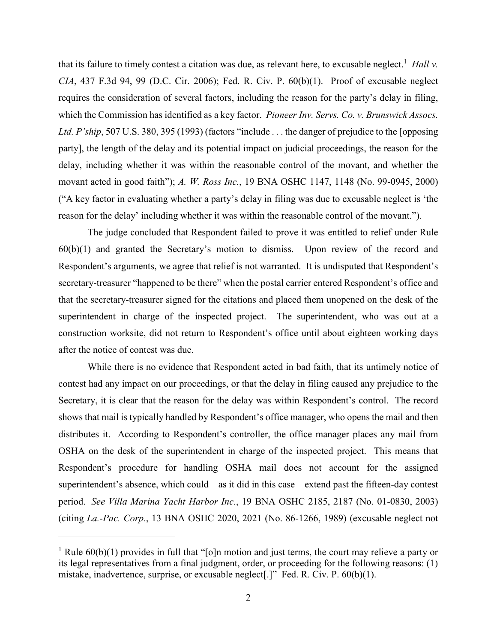that its failure to timely contest a citation was due, as relevant here, to excusable neglect. 1 *Hall v. CIA*, 437 F.3d 94, 99 (D.C. Cir. 2006); Fed. R. Civ. P. 60(b)(1). Proof of excusable neglect requires the consideration of several factors, including the reason for the party's delay in filing, which the Commission has identified as a key factor. *Pioneer Inv. Servs. Co. v. Brunswick Assocs. Ltd. P'ship*, 507 U.S. 380, 395 (1993) (factors "include . . . the danger of prejudice to the [opposing party], the length of the delay and its potential impact on judicial proceedings, the reason for the delay, including whether it was within the reasonable control of the movant, and whether the movant acted in good faith"); *A. W. Ross Inc.*, 19 BNA OSHC 1147, 1148 (No. 99-0945, 2000) ("A key factor in evaluating whether a party's delay in filing was due to excusable neglect is 'the reason for the delay' including whether it was within the reasonable control of the movant.").

The judge concluded that Respondent failed to prove it was entitled to relief under Rule 60(b)(1) and granted the Secretary's motion to dismiss. Upon review of the record and Respondent's arguments, we agree that relief is not warranted. It is undisputed that Respondent's secretary-treasurer "happened to be there" when the postal carrier entered Respondent's office and that the secretary-treasurer signed for the citations and placed them unopened on the desk of the superintendent in charge of the inspected project. The superintendent, who was out at a construction worksite, did not return to Respondent's office until about eighteen working days after the notice of contest was due.

While there is no evidence that Respondent acted in bad faith, that its untimely notice of contest had any impact on our proceedings, or that the delay in filing caused any prejudice to the Secretary, it is clear that the reason for the delay was within Respondent's control. The record shows that mail is typically handled by Respondent's office manager, who opens the mail and then distributes it. According to Respondent's controller, the office manager places any mail from OSHA on the desk of the superintendent in charge of the inspected project. This means that Respondent's procedure for handling OSHA mail does not account for the assigned superintendent's absence, which could—as it did in this case—extend past the fifteen-day contest period. *See Villa Marina Yacht Harbor Inc.*, 19 BNA OSHC 2185, 2187 (No. 01-0830, 2003) (citing *La.-Pac. Corp.*, 13 BNA OSHC 2020, 2021 (No. 86-1266, 1989) (excusable neglect not

l

<sup>&</sup>lt;sup>1</sup> Rule  $60(b)(1)$  provides in full that "[o]n motion and just terms, the court may relieve a party or its legal representatives from a final judgment, order, or proceeding for the following reasons: (1) mistake, inadvertence, surprise, or excusable neglect[.]" Fed. R. Civ. P. 60(b)(1).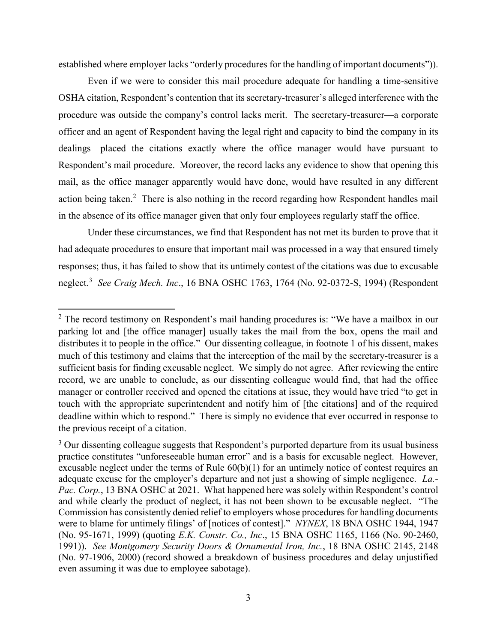established where employer lacks "orderly procedures for the handling of important documents")).

Even if we were to consider this mail procedure adequate for handling a time-sensitive OSHA citation, Respondent's contention that its secretary-treasurer's alleged interference with the procedure was outside the company's control lacks merit. The secretary-treasurer—a corporate officer and an agent of Respondent having the legal right and capacity to bind the company in its dealings—placed the citations exactly where the office manager would have pursuant to Respondent's mail procedure. Moreover, the record lacks any evidence to show that opening this mail, as the office manager apparently would have done, would have resulted in any different action being taken.<sup>2</sup> There is also nothing in the record regarding how Respondent handles mail in the absence of its office manager given that only four employees regularly staff the office.

Under these circumstances, we find that Respondent has not met its burden to prove that it had adequate procedures to ensure that important mail was processed in a way that ensured timely responses; thus, it has failed to show that its untimely contest of the citations was due to excusable neglect.<sup>3</sup> *See Craig Mech. Inc*., 16 BNA OSHC 1763, 1764 (No. 92-0372-S, 1994) (Respondent

 $\overline{\phantom{a}}$ 

 $2$  The record testimony on Respondent's mail handing procedures is: "We have a mailbox in our parking lot and [the office manager] usually takes the mail from the box, opens the mail and distributes it to people in the office." Our dissenting colleague, in footnote 1 of his dissent, makes much of this testimony and claims that the interception of the mail by the secretary-treasurer is a sufficient basis for finding excusable neglect. We simply do not agree. After reviewing the entire record, we are unable to conclude, as our dissenting colleague would find, that had the office manager or controller received and opened the citations at issue, they would have tried "to get in touch with the appropriate superintendent and notify him of [the citations] and of the required deadline within which to respond." There is simply no evidence that ever occurred in response to the previous receipt of a citation.

<sup>&</sup>lt;sup>3</sup> Our dissenting colleague suggests that Respondent's purported departure from its usual business practice constitutes "unforeseeable human error" and is a basis for excusable neglect. However, excusable neglect under the terms of Rule 60(b)(1) for an untimely notice of contest requires an adequate excuse for the employer's departure and not just a showing of simple negligence. *La.- Pac. Corp.*, 13 BNA OSHC at 2021. What happened here was solely within Respondent's control and while clearly the product of neglect, it has not been shown to be excusable neglect. "The Commission has consistently denied relief to employers whose procedures for handling documents were to blame for untimely filings' of [notices of contest]." *NYNEX*, 18 BNA OSHC 1944, 1947 (No. 95-1671, 1999) (quoting *E.K. Constr. Co., Inc*., 15 BNA OSHC 1165, 1166 (No. 90-2460, 1991)). *See Montgomery Security Doors & Ornamental Iron, Inc.*, 18 BNA OSHC 2145, 2148 (No. 97-1906, 2000) (record showed a breakdown of business procedures and delay unjustified even assuming it was due to employee sabotage).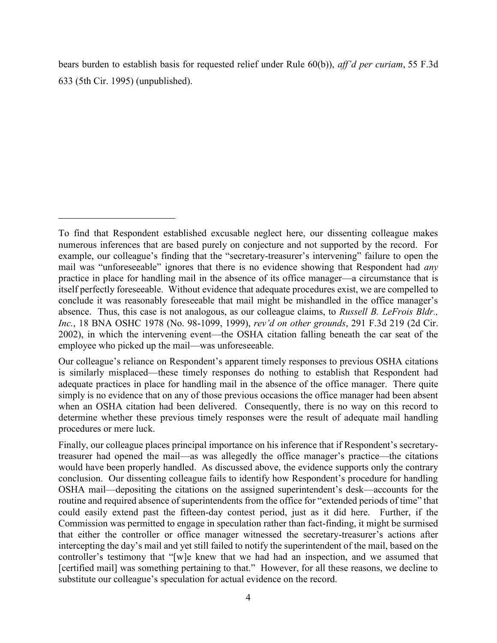bears burden to establish basis for requested relief under Rule 60(b)), *aff'd per curiam*, [55 F.3d](https://1.next.westlaw.com/Link/Document/FullText?findType=Y&pubNum=506&cite=55FE3D633&originatingDoc=I9551dfc353ae11dfab57d8fd5597ca43&refType=RP&originationContext=document&transitionType=DocumentItem&contextData=(sc.Search))  [633 \(5th Cir. 1995\)](https://1.next.westlaw.com/Link/Document/FullText?findType=Y&pubNum=506&cite=55FE3D633&originatingDoc=I9551dfc353ae11dfab57d8fd5597ca43&refType=RP&originationContext=document&transitionType=DocumentItem&contextData=(sc.Search)) (unpublished).

 $\overline{\phantom{a}}$ 

To find that Respondent established excusable neglect here, our dissenting colleague makes numerous inferences that are based purely on conjecture and not supported by the record. For example, our colleague's finding that the "secretary-treasurer's intervening" failure to open the mail was "unforeseeable" ignores that there is no evidence showing that Respondent had *any* practice in place for handling mail in the absence of its office manager—a circumstance that is itself perfectly foreseeable. Without evidence that adequate procedures exist, we are compelled to conclude it was reasonably foreseeable that mail might be mishandled in the office manager's absence. Thus, this case is not analogous, as our colleague claims, to *Russell B. LeFrois Bldr., Inc.*, 18 BNA OSHC 1978 (No. 98-1099, 1999), *rev'd on other grounds*, 291 F.3d 219 (2d Cir. 2002), in which the intervening event—the OSHA citation falling beneath the car seat of the employee who picked up the mail—was unforeseeable.

Our colleague's reliance on Respondent's apparent timely responses to previous OSHA citations is similarly misplaced—these timely responses do nothing to establish that Respondent had adequate practices in place for handling mail in the absence of the office manager. There quite simply is no evidence that on any of those previous occasions the office manager had been absent when an OSHA citation had been delivered. Consequently, there is no way on this record to determine whether these previous timely responses were the result of adequate mail handling procedures or mere luck.

Finally, our colleague places principal importance on his inference that if Respondent's secretarytreasurer had opened the mail—as was allegedly the office manager's practice—the citations would have been properly handled. As discussed above, the evidence supports only the contrary conclusion. Our dissenting colleague fails to identify how Respondent's procedure for handling OSHA mail—depositing the citations on the assigned superintendent's desk—accounts for the routine and required absence of superintendents from the office for "extended periods of time" that could easily extend past the fifteen-day contest period, just as it did here. Further, if the Commission was permitted to engage in speculation rather than fact-finding, it might be surmised that either the controller or office manager witnessed the secretary-treasurer's actions after intercepting the day's mail and yet still failed to notify the superintendent of the mail, based on the controller's testimony that "[w]e knew that we had had an inspection, and we assumed that [certified mail] was something pertaining to that." However, for all these reasons, we decline to substitute our colleague's speculation for actual evidence on the record.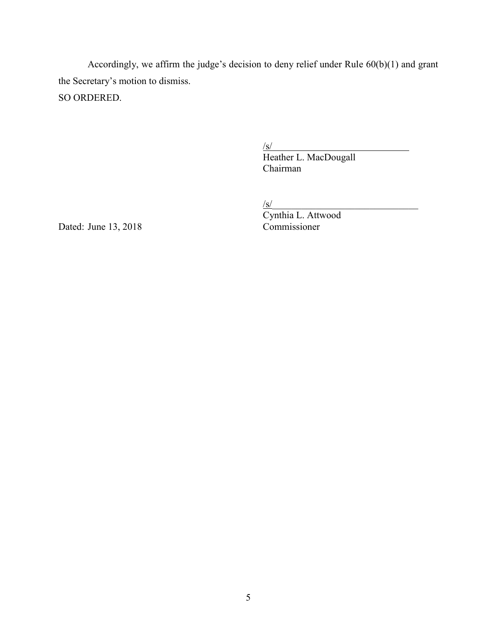Accordingly, we affirm the judge's decision to deny relief under Rule 60(b)(1) and grant the Secretary's motion to dismiss. SO ORDERED.

 $\sqrt{s/}$ 

Heather L. MacDougall Chairman

 $\sqrt{s}$ /s/

Cynthia L. Attwood

Dated: June 13, 2018 Commissioner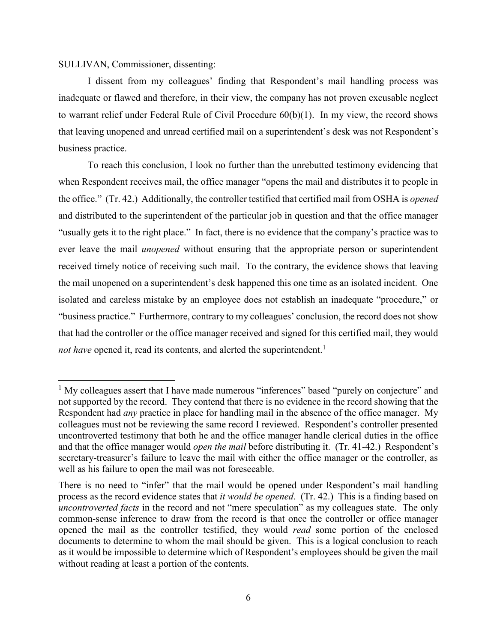### SULLIVAN, Commissioner, dissenting:

 $\overline{\phantom{a}}$ 

I dissent from my colleagues' finding that Respondent's mail handling process was inadequate or flawed and therefore, in their view, the company has not proven excusable neglect to warrant relief under Federal Rule of Civil Procedure 60(b)(1). In my view, the record shows that leaving unopened and unread certified mail on a superintendent's desk was not Respondent's business practice.

To reach this conclusion, I look no further than the unrebutted testimony evidencing that when Respondent receives mail, the office manager "opens the mail and distributes it to people in the office." (Tr. 42.) Additionally, the controller testified that certified mail from OSHA is *opened* and distributed to the superintendent of the particular job in question and that the office manager "usually gets it to the right place." In fact, there is no evidence that the company's practice was to ever leave the mail *unopened* without ensuring that the appropriate person or superintendent received timely notice of receiving such mail. To the contrary, the evidence shows that leaving the mail unopened on a superintendent's desk happened this one time as an isolated incident. One isolated and careless mistake by an employee does not establish an inadequate "procedure," or "business practice." Furthermore, contrary to my colleagues' conclusion, the record does not show that had the controller or the office manager received and signed for this certified mail, they would *not have* opened it, read its contents, and alerted the superintendent.<sup>1</sup>

<sup>&</sup>lt;sup>1</sup> My colleagues assert that I have made numerous "inferences" based "purely on conjecture" and not supported by the record. They contend that there is no evidence in the record showing that the Respondent had *any* practice in place for handling mail in the absence of the office manager. My colleagues must not be reviewing the same record I reviewed. Respondent's controller presented uncontroverted testimony that both he and the office manager handle clerical duties in the office and that the office manager would *open the mail* before distributing it. (Tr. 41-42.) Respondent's secretary-treasurer's failure to leave the mail with either the office manager or the controller, as well as his failure to open the mail was not foreseeable.

There is no need to "infer" that the mail would be opened under Respondent's mail handling process as the record evidence states that *it would be opened*. (Tr. 42.) This is a finding based on *uncontroverted facts* in the record and not "mere speculation" as my colleagues state. The only common-sense inference to draw from the record is that once the controller or office manager opened the mail as the controller testified, they would *read* some portion of the enclosed documents to determine to whom the mail should be given. This is a logical conclusion to reach as it would be impossible to determine which of Respondent's employees should be given the mail without reading at least a portion of the contents.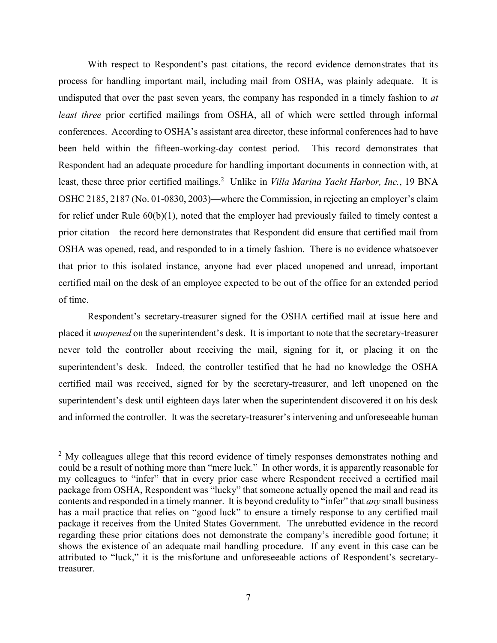With respect to Respondent's past citations, the record evidence demonstrates that its process for handling important mail, including mail from OSHA, was plainly adequate. It is undisputed that over the past seven years, the company has responded in a timely fashion to *at least three* prior certified mailings from OSHA, all of which were settled through informal conferences. According to OSHA's assistant area director, these informal conferences had to have been held within the fifteen-working-day contest period. This record demonstrates that Respondent had an adequate procedure for handling important documents in connection with, at least, these three prior certified mailings.<sup>2</sup> Unlike in *Villa Marina Yacht Harbor, Inc.*, 19 BNA OSHC 2185, 2187 (No. 01-0830, 2003)—where the Commission, in rejecting an employer's claim for relief under Rule 60(b)(1), noted that the employer had previously failed to timely contest a prior citation—the record here demonstrates that Respondent did ensure that certified mail from OSHA was opened, read, and responded to in a timely fashion. There is no evidence whatsoever that prior to this isolated instance, anyone had ever placed unopened and unread, important certified mail on the desk of an employee expected to be out of the office for an extended period of time.

Respondent's secretary-treasurer signed for the OSHA certified mail at issue here and placed it *unopened* on the superintendent's desk. It is important to note that the secretary-treasurer never told the controller about receiving the mail, signing for it, or placing it on the superintendent's desk. Indeed, the controller testified that he had no knowledge the OSHA certified mail was received, signed for by the secretary-treasurer, and left unopened on the superintendent's desk until eighteen days later when the superintendent discovered it on his desk and informed the controller. It was the secretary-treasurer's intervening and unforeseeable human

 $\overline{\phantom{a}}$ 

 $2$  My colleagues allege that this record evidence of timely responses demonstrates nothing and could be a result of nothing more than "mere luck." In other words, it is apparently reasonable for my colleagues to "infer" that in every prior case where Respondent received a certified mail package from OSHA, Respondent was "lucky" that someone actually opened the mail and read its contents and responded in a timely manner. It is beyond credulity to "infer" that *any* small business has a mail practice that relies on "good luck" to ensure a timely response to any certified mail package it receives from the United States Government. The unrebutted evidence in the record regarding these prior citations does not demonstrate the company's incredible good fortune; it shows the existence of an adequate mail handling procedure. If any event in this case can be attributed to "luck," it is the misfortune and unforeseeable actions of Respondent's secretarytreasurer.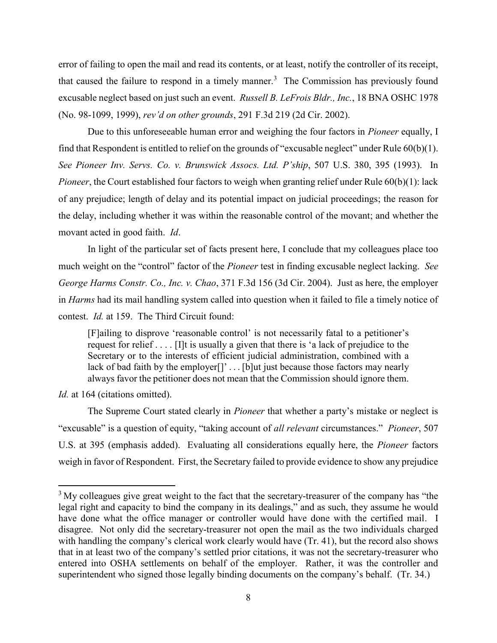error of failing to open the mail and read its contents, or at least, notify the controller of its receipt, that caused the failure to respond in a timely manner.<sup>3</sup> The Commission has previously found excusable neglect based on just such an event. *Russell B. LeFrois Bldr., Inc.*, 18 BNA OSHC 1978 (No. 98-1099, 1999), *rev'd on other grounds*, 291 F.3d 219 (2d Cir. 2002).

Due to this unforeseeable human error and weighing the four factors in *Pioneer* equally, I find that Respondent is entitled to relief on the grounds of "excusable neglect" under Rule 60(b)(1). *See Pioneer Inv. Servs. Co. v. Brunswick Assocs. Ltd. P'ship*, 507 U.S. 380, 395 (1993). In *Pioneer*, the Court established four factors to weigh when granting relief under Rule 60(b)(1): lack of any prejudice; length of delay and its potential impact on judicial proceedings; the reason for the delay, including whether it was within the reasonable control of the movant; and whether the movant acted in good faith. *Id*.

In light of the particular set of facts present here, I conclude that my colleagues place too much weight on the "control" factor of the *Pioneer* test in finding excusable neglect lacking. *See George Harms Constr. Co., Inc. v. Chao*, 371 F.3d 156 (3d Cir. 2004). Just as here, the employer in *Harms* had its mail handling system called into question when it failed to file a timely notice of contest. *Id.* at 159. The Third Circuit found:

[F]ailing to disprove 'reasonable control' is not necessarily fatal to a petitioner's request for relief . . . . [I]t is usually a given that there is 'a lack of prejudice to the Secretary or to the interests of efficient judicial administration, combined with a lack of bad faith by the employer<sup>[]</sup>'...[b]ut just because those factors may nearly always favor the petitioner does not mean that the Commission should ignore them.

Id. at 164 (citations omitted).

 $\overline{a}$ 

The Supreme Court stated clearly in *Pioneer* that whether a party's mistake or neglect is "excusable" is a question of equity, "taking account of *all relevant* circumstances." *Pioneer*, 507 U.S. at 395 (emphasis added). Evaluating all considerations equally here, the *Pioneer* factors weigh in favor of Respondent. First, the Secretary failed to provide evidence to show any prejudice

 $3$  My colleagues give great weight to the fact that the secretary-treasurer of the company has "the legal right and capacity to bind the company in its dealings," and as such, they assume he would have done what the office manager or controller would have done with the certified mail. I disagree. Not only did the secretary-treasurer not open the mail as the two individuals charged with handling the company's clerical work clearly would have (Tr. 41), but the record also shows that in at least two of the company's settled prior citations, it was not the secretary-treasurer who entered into OSHA settlements on behalf of the employer. Rather, it was the controller and superintendent who signed those legally binding documents on the company's behalf. (Tr. 34.)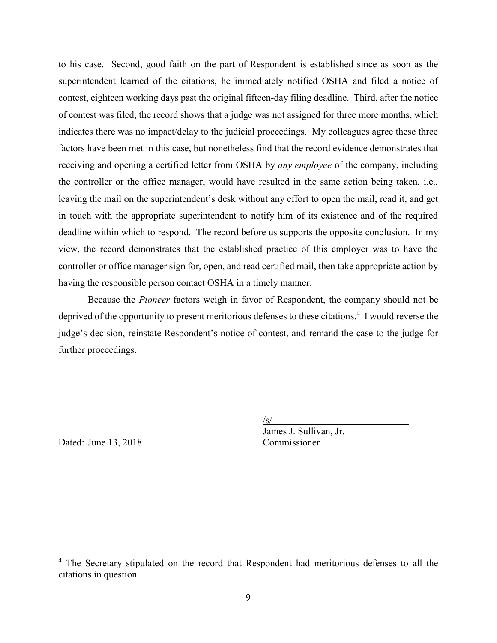to his case. Second, good faith on the part of Respondent is established since as soon as the superintendent learned of the citations, he immediately notified OSHA and filed a notice of contest, eighteen working days past the original fifteen-day filing deadline. Third, after the notice of contest was filed, the record shows that a judge was not assigned for three more months, which indicates there was no impact/delay to the judicial proceedings. My colleagues agree these three factors have been met in this case, but nonetheless find that the record evidence demonstrates that receiving and opening a certified letter from OSHA by *any employee* of the company, including the controller or the office manager, would have resulted in the same action being taken, i.e., leaving the mail on the superintendent's desk without any effort to open the mail, read it, and get in touch with the appropriate superintendent to notify him of its existence and of the required deadline within which to respond. The record before us supports the opposite conclusion. In my view, the record demonstrates that the established practice of this employer was to have the controller or office manager sign for, open, and read certified mail, then take appropriate action by having the responsible person contact OSHA in a timely manner.

Because the *Pioneer* factors weigh in favor of Respondent, the company should not be deprived of the opportunity to present meritorious defenses to these citations.<sup>4</sup> I would reverse the judge's decision, reinstate Respondent's notice of contest, and remand the case to the judge for further proceedings.

Dated: June 13, 2018 Commissioner

 $\overline{a}$ 

 $\sqrt{s/}$ 

James J. Sullivan, Jr.

<sup>&</sup>lt;sup>4</sup> The Secretary stipulated on the record that Respondent had meritorious defenses to all the citations in question.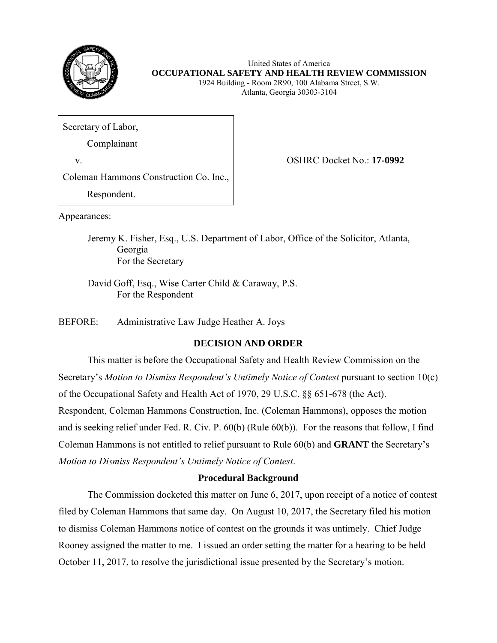

United States of America **OCCUPATIONAL SAFETY AND HEALTH REVIEW COMMISSION** 1924 Building - Room 2R90, 100 Alabama Street, S.W.

Atlanta, Georgia 30303-3104

Secretary of Labor,

Complainant

v. OSHRC Docket No.: **17-0992**

Coleman Hammons Construction Co. Inc.,

Respondent.

Appearances:

Jeremy K. Fisher, Esq., U.S. Department of Labor, Office of the Solicitor, Atlanta, Georgia For the Secretary

David Goff, Esq., Wise Carter Child & Caraway, P.S. For the Respondent

BEFORE: Administrative Law Judge Heather A. Joys

# **DECISION AND ORDER**

This matter is before the Occupational Safety and Health Review Commission on the Secretary's *Motion to Dismiss Respondent's Untimely Notice of Contest* pursuant to section 10(c) of the Occupational Safety and Health Act of 1970, 29 U.S.C. §§ 651-678 (the Act). Respondent, Coleman Hammons Construction, Inc. (Coleman Hammons), opposes the motion and is seeking relief under Fed. R. Civ. P. 60(b) (Rule 60(b)). For the reasons that follow, I find Coleman Hammons is not entitled to relief pursuant to Rule 60(b) and **GRANT** the Secretary's *Motion to Dismiss Respondent's Untimely Notice of Contest*.

# **Procedural Background**

The Commission docketed this matter on June 6, 2017, upon receipt of a notice of contest filed by Coleman Hammons that same day. On August 10, 2017, the Secretary filed his motion to dismiss Coleman Hammons notice of contest on the grounds it was untimely. Chief Judge Rooney assigned the matter to me. I issued an order setting the matter for a hearing to be held October 11, 2017, to resolve the jurisdictional issue presented by the Secretary's motion.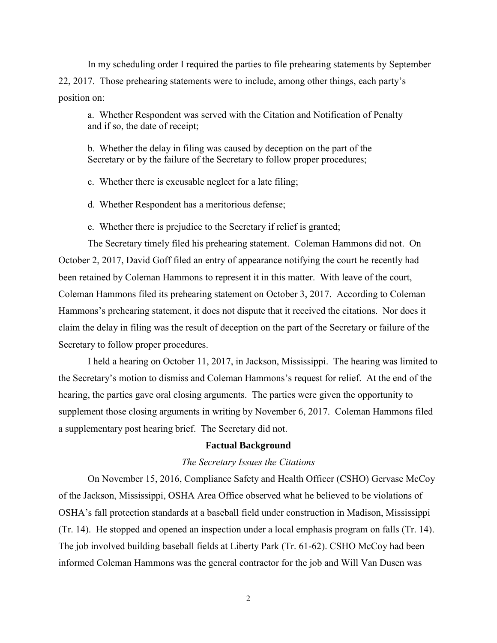In my scheduling order I required the parties to file prehearing statements by September 22, 2017. Those prehearing statements were to include, among other things, each party's position on:

a. Whether Respondent was served with the Citation and Notification of Penalty and if so, the date of receipt;

b. Whether the delay in filing was caused by deception on the part of the Secretary or by the failure of the Secretary to follow proper procedures;

c. Whether there is excusable neglect for a late filing;

d. Whether Respondent has a meritorious defense;

e. Whether there is prejudice to the Secretary if relief is granted;

The Secretary timely filed his prehearing statement. Coleman Hammons did not. On October 2, 2017, David Goff filed an entry of appearance notifying the court he recently had been retained by Coleman Hammons to represent it in this matter. With leave of the court, Coleman Hammons filed its prehearing statement on October 3, 2017. According to Coleman Hammons's prehearing statement, it does not dispute that it received the citations. Nor does it claim the delay in filing was the result of deception on the part of the Secretary or failure of the Secretary to follow proper procedures.

I held a hearing on October 11, 2017, in Jackson, Mississippi. The hearing was limited to the Secretary's motion to dismiss and Coleman Hammons's request for relief. At the end of the hearing, the parties gave oral closing arguments. The parties were given the opportunity to supplement those closing arguments in writing by November 6, 2017. Coleman Hammons filed a supplementary post hearing brief. The Secretary did not.

## **Factual Background**

#### *The Secretary Issues the Citations*

On November 15, 2016, Compliance Safety and Health Officer (CSHO) Gervase McCoy of the Jackson, Mississippi, OSHA Area Office observed what he believed to be violations of OSHA's fall protection standards at a baseball field under construction in Madison, Mississippi (Tr. 14). He stopped and opened an inspection under a local emphasis program on falls (Tr. 14). The job involved building baseball fields at Liberty Park (Tr. 61-62). CSHO McCoy had been informed Coleman Hammons was the general contractor for the job and Will Van Dusen was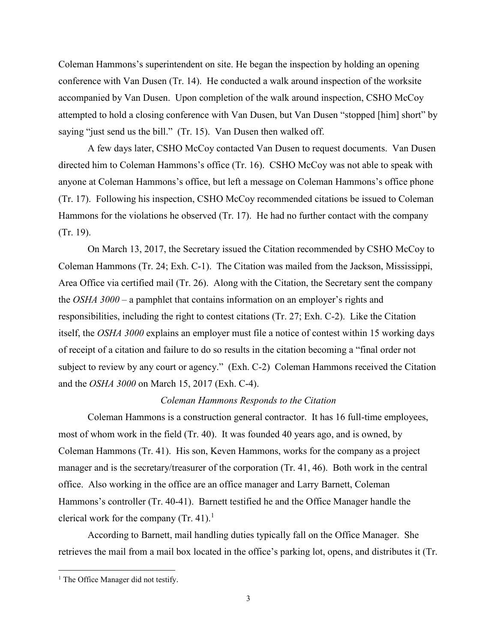Coleman Hammons's superintendent on site. He began the inspection by holding an opening conference with Van Dusen (Tr. 14). He conducted a walk around inspection of the worksite accompanied by Van Dusen. Upon completion of the walk around inspection, CSHO McCoy attempted to hold a closing conference with Van Dusen, but Van Dusen "stopped [him] short" by saying "just send us the bill." (Tr. 15). Van Dusen then walked off.

A few days later, CSHO McCoy contacted Van Dusen to request documents. Van Dusen directed him to Coleman Hammons's office (Tr. 16). CSHO McCoy was not able to speak with anyone at Coleman Hammons's office, but left a message on Coleman Hammons's office phone (Tr. 17). Following his inspection, CSHO McCoy recommended citations be issued to Coleman Hammons for the violations he observed (Tr. 17). He had no further contact with the company (Tr. 19).

On March 13, 2017, the Secretary issued the Citation recommended by CSHO McCoy to Coleman Hammons (Tr. 24; Exh. C-1). The Citation was mailed from the Jackson, Mississippi, Area Office via certified mail (Tr. 26). Along with the Citation, the Secretary sent the company the *OSHA 3000* – a pamphlet that contains information on an employer's rights and responsibilities, including the right to contest citations (Tr. 27; Exh. C-2). Like the Citation itself, the *OSHA 3000* explains an employer must file a notice of contest within 15 working days of receipt of a citation and failure to do so results in the citation becoming a "final order not subject to review by any court or agency." (Exh. C-2) Coleman Hammons received the Citation and the *OSHA 3000* on March 15, 2017 (Exh. C-4).

### *Coleman Hammons Responds to the Citation*

Coleman Hammons is a construction general contractor. It has 16 full-time employees, most of whom work in the field (Tr. 40). It was founded 40 years ago, and is owned, by Coleman Hammons (Tr. 41). His son, Keven Hammons, works for the company as a project manager and is the secretary/treasurer of the corporation (Tr. 41, 46). Both work in the central office. Also working in the office are an office manager and Larry Barnett, Coleman Hammons's controller (Tr. 40-41). Barnett testified he and the Office Manager handle the clerical work for the company  $(Tr. 41).$ <sup>1</sup>

According to Barnett, mail handling duties typically fall on the Office Manager. She retrieves the mail from a mail box located in the office's parking lot, opens, and distributes it (Tr.

 $\overline{a}$ 

<sup>&</sup>lt;sup>1</sup> The Office Manager did not testify.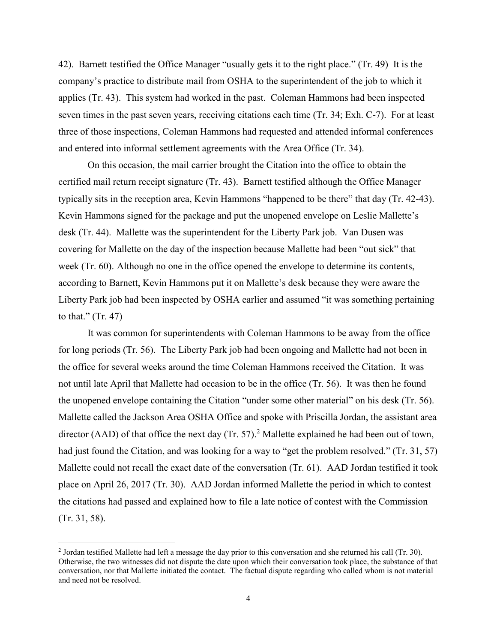42). Barnett testified the Office Manager "usually gets it to the right place." (Tr. 49) It is the company's practice to distribute mail from OSHA to the superintendent of the job to which it applies (Tr. 43). This system had worked in the past. Coleman Hammons had been inspected seven times in the past seven years, receiving citations each time (Tr. 34; Exh. C-7). For at least three of those inspections, Coleman Hammons had requested and attended informal conferences and entered into informal settlement agreements with the Area Office (Tr. 34).

On this occasion, the mail carrier brought the Citation into the office to obtain the certified mail return receipt signature (Tr. 43). Barnett testified although the Office Manager typically sits in the reception area, Kevin Hammons "happened to be there" that day (Tr. 42-43). Kevin Hammons signed for the package and put the unopened envelope on Leslie Mallette's desk (Tr. 44). Mallette was the superintendent for the Liberty Park job. Van Dusen was covering for Mallette on the day of the inspection because Mallette had been "out sick" that week (Tr. 60). Although no one in the office opened the envelope to determine its contents, according to Barnett, Kevin Hammons put it on Mallette's desk because they were aware the Liberty Park job had been inspected by OSHA earlier and assumed "it was something pertaining to that."  $(Tr. 47)$ 

It was common for superintendents with Coleman Hammons to be away from the office for long periods (Tr. 56). The Liberty Park job had been ongoing and Mallette had not been in the office for several weeks around the time Coleman Hammons received the Citation. It was not until late April that Mallette had occasion to be in the office (Tr. 56). It was then he found the unopened envelope containing the Citation "under some other material" on his desk (Tr. 56). Mallette called the Jackson Area OSHA Office and spoke with Priscilla Jordan, the assistant area director (AAD) of that office the next day (Tr. 57).<sup>2</sup> Mallette explained he had been out of town, had just found the Citation, and was looking for a way to "get the problem resolved." (Tr. 31, 57) Mallette could not recall the exact date of the conversation (Tr. 61). AAD Jordan testified it took place on April 26, 2017 (Tr. 30). AAD Jordan informed Mallette the period in which to contest the citations had passed and explained how to file a late notice of contest with the Commission (Tr. 31, 58).

<sup>&</sup>lt;sup>2</sup> Jordan testified Mallette had left a message the day prior to this conversation and she returned his call (Tr. 30). Otherwise, the two witnesses did not dispute the date upon which their conversation took place, the substance of that conversation, nor that Mallette initiated the contact. The factual dispute regarding who called whom is not material and need not be resolved.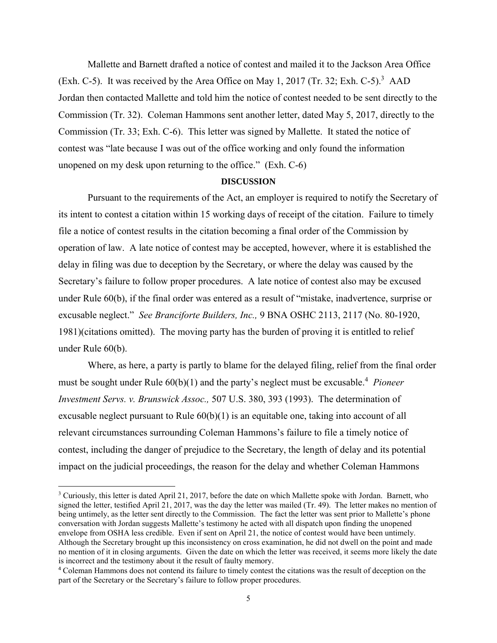Mallette and Barnett drafted a notice of contest and mailed it to the Jackson Area Office (Exh. C-5). It was received by the Area Office on May 1, 2017 (Tr. 32; Exh. C-5).<sup>3</sup> AAD Jordan then contacted Mallette and told him the notice of contest needed to be sent directly to the Commission (Tr. 32). Coleman Hammons sent another letter, dated May 5, 2017, directly to the Commission (Tr. 33; Exh. C-6). This letter was signed by Mallette. It stated the notice of contest was "late because I was out of the office working and only found the information unopened on my desk upon returning to the office." (Exh. C-6)

#### **DISCUSSION**

Pursuant to the requirements of the Act, an employer is required to notify the Secretary of its intent to contest a citation within 15 working days of receipt of the citation. Failure to timely file a notice of contest results in the citation becoming a final order of the Commission by operation of law. A late notice of contest may be accepted, however, where it is established the delay in filing was due to deception by the Secretary, or where the delay was caused by the Secretary's failure to follow proper procedures. A late notice of contest also may be excused under Rule 60(b), if the final order was entered as a result of "mistake, inadvertence, surprise or excusable neglect." *See Branciforte Builders, Inc.,* 9 BNA OSHC 2113, 2117 (No. 80-1920, 1981)(citations omitted). The moving party has the burden of proving it is entitled to relief under Rule 60(b).

Where, as here, a party is partly to blame for the delayed filing, relief from the final order must be sought under Rule 60(b)(1) and the party's neglect must be excusable.<sup>4</sup> Pioneer *Investment Servs. v. Brunswick Assoc.,* 507 U.S. 380, 393 (1993).The determination of excusable neglect pursuant to Rule  $60(b)(1)$  is an equitable one, taking into account of all relevant circumstances surrounding Coleman Hammons's failure to file a timely notice of contest, including the danger of prejudice to the Secretary, the length of delay and its potential impact on the judicial proceedings, the reason for the delay and whether Coleman Hammons

 $\overline{a}$ 

<sup>3</sup> Curiously, this letter is dated April 21, 2017, before the date on which Mallette spoke with Jordan. Barnett, who signed the letter, testified April 21, 2017, was the day the letter was mailed (Tr. 49). The letter makes no mention of being untimely, as the letter sent directly to the Commission. The fact the letter was sent prior to Mallette's phone conversation with Jordan suggests Mallette's testimony he acted with all dispatch upon finding the unopened envelope from OSHA less credible. Even if sent on April 21, the notice of contest would have been untimely. Although the Secretary brought up this inconsistency on cross examination, he did not dwell on the point and made no mention of it in closing arguments. Given the date on which the letter was received, it seems more likely the date is incorrect and the testimony about it the result of faulty memory.

<sup>4</sup> Coleman Hammons does not contend its failure to timely contest the citations was the result of deception on the part of the Secretary or the Secretary's failure to follow proper procedures.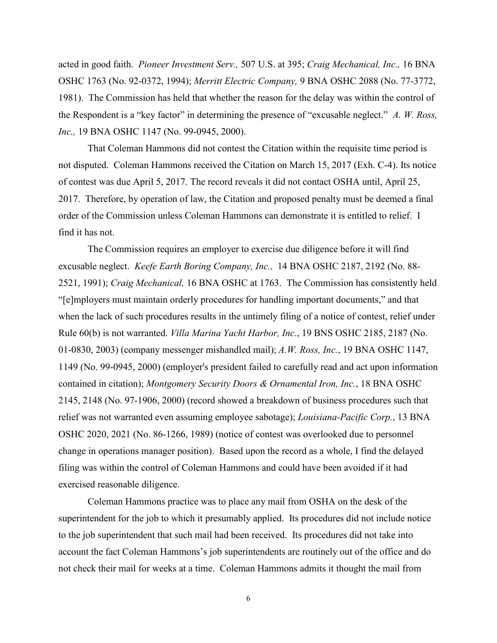acted in good faith. *Pioneer Investment Serv.,* 507 U.S. at 395; *Craig Mechanical, Inc.,* 16 BNA OSHC 1763 (No. 92-0372, 1994); *Merritt Electric Company,* 9 BNA OSHC 2088 (No. 77-3772, 1981). The Commission has held that whether the reason for the delay was within the control of the Respondent is a "key factor" in determining the presence of "excusable neglect." *A. W. Ross, Inc.,* 19 BNA OSHC 1147 (No. 99-0945, 2000).

That Coleman Hammons did not contest the Citation within the requisite time period is not disputed. Coleman Hammons received the Citation on March 15, 2017 (Exh. C-4). Its notice of contest was due April 5, 2017. The record reveals it did not contact OSHA until, April 25, 2017. Therefore, by operation of law, the Citation and proposed penalty must be deemed a final order of the Commission unless Coleman Hammons can demonstrate it is entitled to relief. I find it has not.

The Commission requires an employer to exercise due diligence before it will find excusable neglect. *Keefe Earth Boring Company, Inc.,* [14 BNA OSHC 2187, 2192 \(No. 88-](http://www.westlaw.com/Find/Default.wl?rs=dfa1.0&vr=2.0&DB=0003227&FindType=Y&SerialNum=1991434415) [2521, 1991\);](http://www.westlaw.com/Find/Default.wl?rs=dfa1.0&vr=2.0&DB=0003227&FindType=Y&SerialNum=1991434415) *Craig Mechanical,* 16 BNA OSHC at 1763. The Commission has consistently held "[e]mployers must maintain orderly procedures for handling important documents," and that when the lack of such procedures results in the untimely filing of a notice of contest, relief under [Rule 60\(b\)](http://www.westlaw.com/Find/Default.wl?rs=dfa1.0&vr=2.0&DB=1004365&DocName=USFRCPR60&FindType=L) is not warranted. *Villa Marina Yacht Harbor, Inc.*, 19 BNS OSHC 2185, 2187 (No. 01-0830, 2003) (company messenger mishandled mail); *[A.W. Ross, Inc.](http://www.westlaw.com/Find/Default.wl?rs=dfa1.0&vr=2.0&DB=0003227&FindType=Y&SerialNum=2000905201)*[, 19 BNA OSHC 1147,](http://www.westlaw.com/Find/Default.wl?rs=dfa1.0&vr=2.0&DB=0003227&FindType=Y&SerialNum=2000905201)  [1149 \(No. 99-0945, 2000\)](http://www.westlaw.com/Find/Default.wl?rs=dfa1.0&vr=2.0&DB=0003227&FindType=Y&SerialNum=2000905201) (employer's president failed to carefully read and act upon information contained in citation); *Montgomery Security Doors & Ornamental Iron, Inc.*, 18 BNA OSHC 2145, 2148 (No. 97-1906, 2000) (record showed a breakdown of business procedures such that relief was not warranted even assuming employee sabotage); *Louisiana-Pacific Corp.*, 13 BNA OSHC 2020, 2021 (No. 86-1266, 1989) (notice of contest was overlooked due to personnel change in operations manager position). Based upon the record as a whole, I find the delayed filing was within the control of Coleman Hammons and could have been avoided if it had exercised reasonable diligence.

Coleman Hammons practice was to place any mail from OSHA on the desk of the superintendent for the job to which it presumably applied. Its procedures did not include notice to the job superintendent that such mail had been received. Its procedures did not take into account the fact Coleman Hammons's job superintendents are routinely out of the office and do not check their mail for weeks at a time. Coleman Hammons admits it thought the mail from

6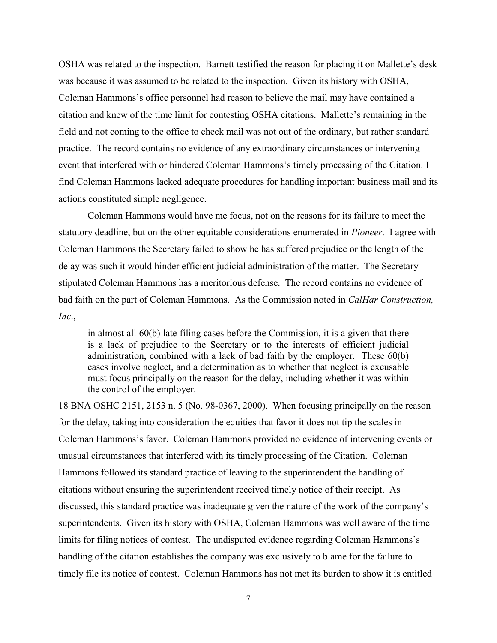OSHA was related to the inspection. Barnett testified the reason for placing it on Mallette's desk was because it was assumed to be related to the inspection. Given its history with OSHA, Coleman Hammons's office personnel had reason to believe the mail may have contained a citation and knew of the time limit for contesting OSHA citations. Mallette's remaining in the field and not coming to the office to check mail was not out of the ordinary, but rather standard practice. The record contains no evidence of any extraordinary circumstances or intervening event that interfered with or hindered Coleman Hammons's timely processing of the Citation. I find Coleman Hammons lacked adequate procedures for handling important business mail and its actions constituted simple negligence.

Coleman Hammons would have me focus, not on the reasons for its failure to meet the statutory deadline, but on the other equitable considerations enumerated in *Pioneer*. I agree with Coleman Hammons the Secretary failed to show he has suffered prejudice or the length of the delay was such it would hinder efficient judicial administration of the matter. The Secretary stipulated Coleman Hammons has a meritorious defense. The record contains no evidence of bad faith on the part of Coleman Hammons. As the Commission noted in *CalHar Construction, Inc*.,

in almost all 60(b) late filing cases before the Commission, it is a given that there is a lack of prejudice to the Secretary or to the interests of efficient judicial administration, combined with a lack of bad faith by the employer. These 60(b) cases involve neglect, and a determination as to whether that neglect is excusable must focus principally on the reason for the delay, including whether it was within the control of the employer.

18 BNA OSHC 2151, 2153 n. 5 (No. 98-0367, 2000). When focusing principally on the reason for the delay, taking into consideration the equities that favor it does not tip the scales in Coleman Hammons's favor. Coleman Hammons provided no evidence of intervening events or unusual circumstances that interfered with its timely processing of the Citation. Coleman Hammons followed its standard practice of leaving to the superintendent the handling of citations without ensuring the superintendent received timely notice of their receipt. As discussed, this standard practice was inadequate given the nature of the work of the company's superintendents. Given its history with OSHA, Coleman Hammons was well aware of the time limits for filing notices of contest. The undisputed evidence regarding Coleman Hammons's handling of the citation establishes the company was exclusively to blame for the failure to timely file its notice of contest. Coleman Hammons has not met its burden to show it is entitled